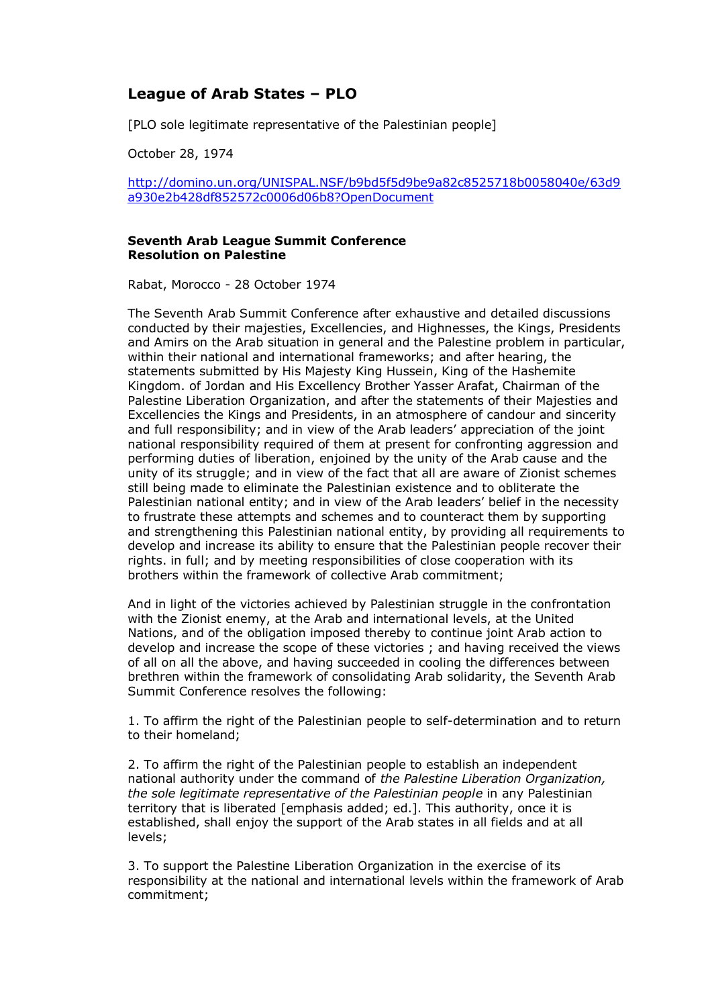## **League of Arab States – PLO**

[PLO sole legitimate representative of the Palestinian people]

October 28, 1974

[http://domino.un.org/UNISPAL.NSF/b9bd5f5d9be9a82c8525718b0058040e/63d9](http://domino.un.org/UNISPAL.NSF/b9bd5f5d9be9a82c8525718b0058040e/63d9a930e2b428df852572c0006d06b8?OpenDocument) [a930e2b428df852572c0006d06b8?OpenDocument](http://domino.un.org/UNISPAL.NSF/b9bd5f5d9be9a82c8525718b0058040e/63d9a930e2b428df852572c0006d06b8?OpenDocument)

## **Seventh Arab League Summit Conference Resolution on Palestine**

Rabat, Morocco - 28 October 1974

The Seventh Arab Summit Conference after exhaustive and detailed discussions conducted by their majesties, Excellencies, and Highnesses, the Kings, Presidents and Amirs on the Arab situation in general and the Palestine problem in particular, within their national and international frameworks; and after hearing, the statements submitted by His Majesty King Hussein, King of the Hashemite Kingdom. of Jordan and His Excellency Brother Yasser Arafat, Chairman of the Palestine Liberation Organization, and after the statements of their Majesties and Excellencies the Kings and Presidents, in an atmosphere of candour and sincerity and full responsibility; and in view of the Arab leaders' appreciation of the joint national responsibility required of them at present for confronting aggression and performing duties of liberation, enjoined by the unity of the Arab cause and the unity of its struggle; and in view of the fact that all are aware of Zionist schemes still being made to eliminate the Palestinian existence and to obliterate the Palestinian national entity; and in view of the Arab leaders' belief in the necessity to frustrate these attempts and schemes and to counteract them by supporting and strengthening this Palestinian national entity, by providing all requirements to develop and increase its ability to ensure that the Palestinian people recover their rights. in full; and by meeting responsibilities of close cooperation with its brothers within the framework of collective Arab commitment;

And in light of the victories achieved by Palestinian struggle in the confrontation with the Zionist enemy, at the Arab and international levels, at the United Nations, and of the obligation imposed thereby to continue joint Arab action to develop and increase the scope of these victories ; and having received the views of all on all the above, and having succeeded in cooling the differences between brethren within the framework of consolidating Arab solidarity, the Seventh Arab Summit Conference resolves the following:

1. To affirm the right of the Palestinian people to self-determination and to return to their homeland;

2. To affirm the right of the Palestinian people to establish an independent national authority under the command of *the Palestine Liberation Organization, the sole legitimate representative of the Palestinian people* in any Palestinian territory that is liberated [emphasis added; ed.]. This authority, once it is established, shall enjoy the support of the Arab states in all fields and at all levels;

3. To support the Palestine Liberation Organization in the exercise of its responsibility at the national and international levels within the framework of Arab commitment;